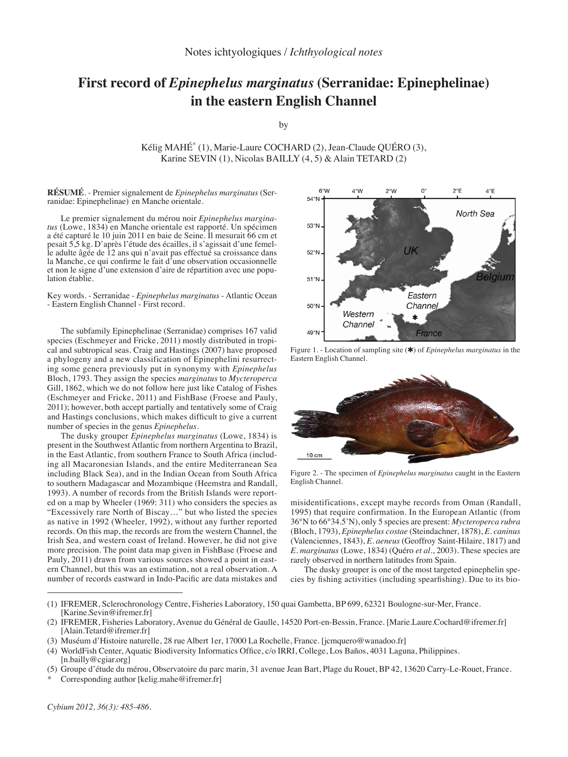## **First record of** *Epinephelus marginatus* **(Serranidae: Epinephelinae) in the eastern English Channel**

by

Kélig MAHÉ<sup>\*</sup> (1), Marie-Laure COCHARD (2), Jean-Claude OUÉRO (3), Karine SEVIN (1), Nicolas BAILLY (4, 5) & Alain TETARD (2)

**Résumé**. - Premier signalement de *Epinephelus marginatus* (Serranidae: Epinephelinae) en Manche orientale.

Le premier signalement du mérou noir *Epinephelus margina-<br>
<i>tus* (Lowe, 1834) en Manche orientale est rapporté. Un spécimen<br>
a été capturé le 10 juin 2011 en baie de Seine. Il mesurait 66 cm et<br>
pesait 5,5 kg. D'après l'é le adulte âgée de 12 ans qui n'avait pas effectué sa croissance dans la Manche, ce qui confirme le fait d'une observation occasionnelle et non le signe d'une extension d'aire de répartition avec une popu- lation établie.

Key words. - Serranidae - *Epinephelus marginatus* - Atlantic Ocean - Eastern English Channel - First record.

The subfamily Epinephelinae (Serranidae) comprises 167 valid species (Eschmeyer and Fricke, 2011) mostly distributed in tropical and subtropical seas. Craig and Hastings (2007) have proposed a phylogeny and a new classification of Epinephelini resurrecting some genera previously put in synonymy with *Epinephelus*  Bloch, 1793. They assign the species *marginatus* to *Mycteroperca*  Gill, 1862, which we do not follow here just like Catalog of Fishes (Eschmeyer and Fricke, 2011) and FishBase (Froese and Pauly, 2011); however, both accept partially and tentatively some of Craig and Hastings conclusions, which makes difficult to give a current number of species in the genus *Epinephelus*.

The dusky grouper *Epinephelus marginatus* (Lowe, 1834) is present in the Southwest Atlantic from northern Argentina to Brazil, in the East Atlantic, from southern France to South Africa (including all Macaronesian Islands, and the entire Mediterranean Sea including Black Sea), and in the Indian Ocean from South Africa to southern Madagascar and Mozambique (Heemstra and Randall, 1993). A number of records from the British Islands were reported on a map by Wheeler (1969: 311) who considers the species as "Excessively rare North of Biscay…" but who listed the species as native in 1992 (Wheeler, 1992), without any further reported records. On this map, the records are from the western Channel, the Irish Sea, and western coast of Ireland. However, he did not give more precision. The point data map given in FishBase (Froese and Pauly, 2011) drawn from various sources showed a point in eastern Channel, but this was an estimation, not a real observation. A number of records eastward in Indo-Pacific are data mistakes and



Figure 1. - Location of sampling site (✱) of *Epinephelus marginatus* in the Eastern English Channel.



Figure 2. - The specimen of *Epinephelus marginatus* caught in the Eastern English Channel.

misidentifications, except maybe records from Oman (Randall, 1995) that require confirmation. In the European Atlantic (from 36°N to 66°34.5'N), only 5 species are present: *Mycteroperca rubra* (Bloch, 1793), *Epinephelus costae* (Steindachner, 1878), *E. caninus* (Valenciennes, 1843), *E. aeneus* (Geoffroy Saint-Hilaire, 1817) and *E. marginatus* (Lowe, 1834) (Quéro *et al*., 2003). These species are rarely observed in northern latitudes from Spain.

The dusky grouper is one of the most targeted epinephelin species by fishing activities (including spearfishing). Due to its bio-

- (1) IFREMER, Sclerochronology Centre, Fisheries Laboratory, 150 quai Gambetta, BP 699, 62321 Boulogne-sur-Mer, France. [Karine.Sevin@ifremer.fr]
- (2) IFREMER, Fisheries Laboratory, Avenue du Général de Gaulle, 14520 Port-en-Bessin, France. [Marie.Laure.Cochard@ifremer.fr] [Alain.Tetard@ifremer.fr]
- (3) Muséum d'Histoire naturelle, 28 rue Albert 1er, 17000 La Rochelle, France. [jcmquero@wanadoo.fr]
- (4) WorldFish Center, Aquatic Biodiversity Informatics Office, c/o IRRI, College, Los Baños, 4031 Laguna, Philippines. [n.bailly@cgiar.org]
- (5) Groupe d'étude du mérou, Observatoire du parc marin, 31 avenue Jean Bart, Plage du Rouet, BP 42, 13620 Carry-Le-Rouet, France.
- Corresponding author [kelig.mahe@ifremer.fr]